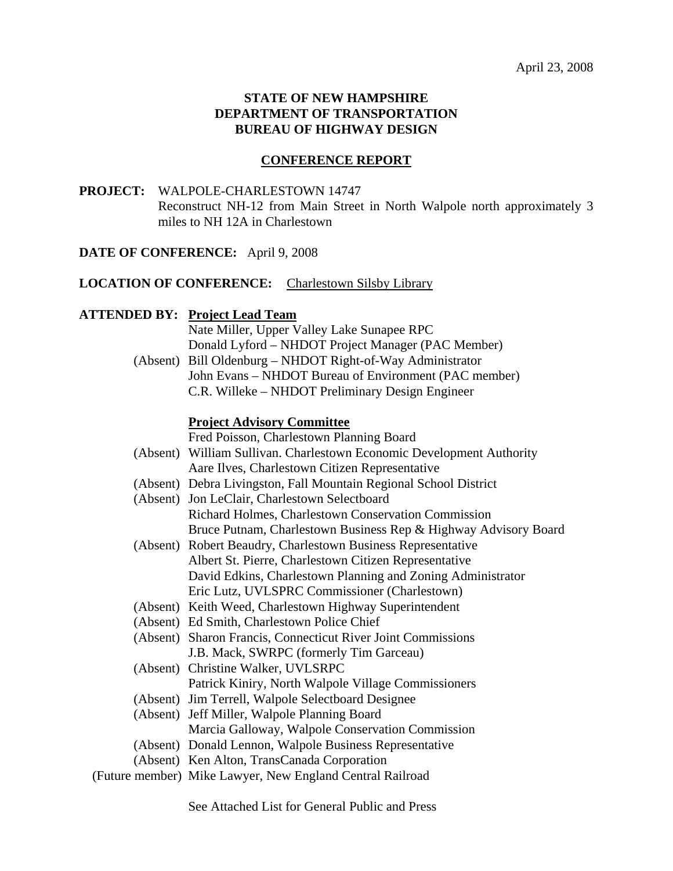# **STATE OF NEW HAMPSHIRE DEPARTMENT OF TRANSPORTATION BUREAU OF HIGHWAY DESIGN**

## **CONFERENCE REPORT**

# **PROJECT:** WALPOLE-CHARLESTOWN 14747 Reconstruct NH-12 from Main Street in North Walpole north approximately 3 miles to NH 12A in Charlestown

**DATE OF CONFERENCE:** April 9, 2008

**LOCATION OF CONFERENCE:** Charlestown Silsby Library

#### **ATTENDED BY: Project Lead Team**

| Nate Miller, Upper Valley Lake Sunapee RPC                            |
|-----------------------------------------------------------------------|
| Donald Lyford - NHDOT Project Manager (PAC Member)                    |
| (Absent) Bill Oldenburg - NHDOT Right-of-Way Administrator            |
| John Evans - NHDOT Bureau of Environment (PAC member)                 |
| C.R. Willeke - NHDOT Preliminary Design Engineer                      |
|                                                                       |
| <b>Project Advisory Committee</b>                                     |
| Fred Poisson, Charlestown Planning Board                              |
| (Absent) William Sullivan. Charlestown Economic Development Authority |
| Aare Ilves, Charlestown Citizen Representative                        |
| (Absent) Debra Livingston, Fall Mountain Regional School District     |
| (Absent) Jon LeClair, Charlestown Selectboard                         |
| Richard Holmes, Charlestown Conservation Commission                   |
| Bruce Putnam, Charlestown Business Rep & Highway Advisory Board       |
| (Absent) Robert Beaudry, Charlestown Business Representative          |
| Albert St. Pierre, Charlestown Citizen Representative                 |
| David Edkins, Charlestown Planning and Zoning Administrator           |
| Eric Lutz, UVLSPRC Commissioner (Charlestown)                         |
| (Absent) Keith Weed, Charlestown Highway Superintendent               |
| (Absent) Ed Smith, Charlestown Police Chief                           |
| (Absent) Sharon Francis, Connecticut River Joint Commissions          |
| J.B. Mack, SWRPC (formerly Tim Garceau)                               |
| (Absent) Christine Walker, UVLSRPC                                    |
| Patrick Kiniry, North Walpole Village Commissioners                   |
| (Absent) Jim Terrell, Walpole Selectboard Designee                    |
| (Absent) Jeff Miller, Walpole Planning Board                          |
| Marcia Galloway, Walpole Conservation Commission                      |
| (Absent) Donald Lennon, Walpole Business Representative               |
| (Absent) Ken Alton, TransCanada Corporation                           |
| (Future member) Mike Lawyer, New England Central Railroad             |

See Attached List for General Public and Press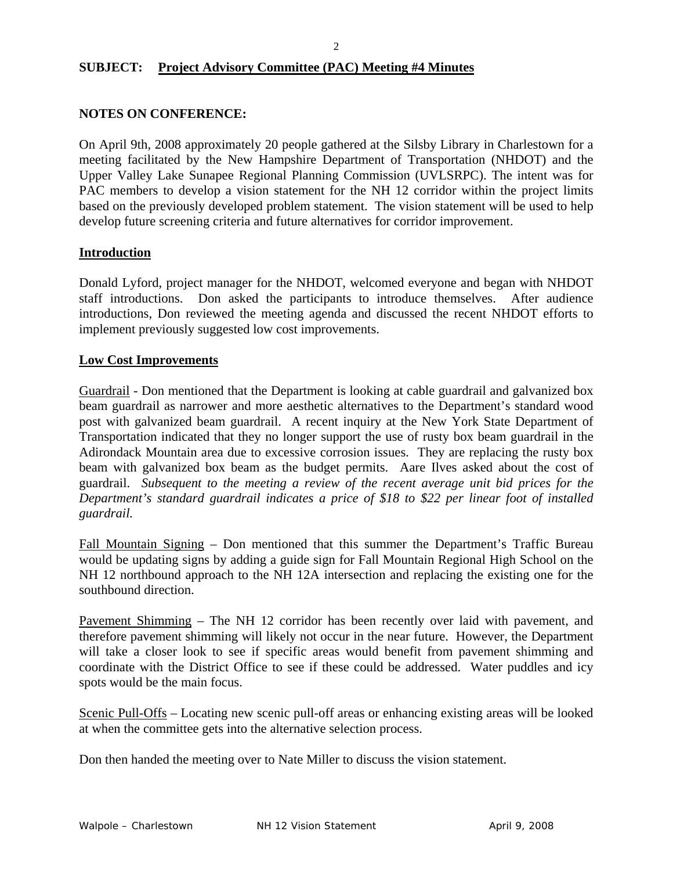# **SUBJECT: Project Advisory Committee (PAC) Meeting #4 Minutes**

## **NOTES ON CONFERENCE:**

On April 9th, 2008 approximately 20 people gathered at the Silsby Library in Charlestown for a meeting facilitated by the New Hampshire Department of Transportation (NHDOT) and the Upper Valley Lake Sunapee Regional Planning Commission (UVLSRPC). The intent was for PAC members to develop a vision statement for the NH 12 corridor within the project limits based on the previously developed problem statement. The vision statement will be used to help develop future screening criteria and future alternatives for corridor improvement.

### **Introduction**

Donald Lyford, project manager for the NHDOT, welcomed everyone and began with NHDOT staff introductions. Don asked the participants to introduce themselves. After audience introductions, Don reviewed the meeting agenda and discussed the recent NHDOT efforts to implement previously suggested low cost improvements.

### **Low Cost Improvements**

Guardrail - Don mentioned that the Department is looking at cable guardrail and galvanized box beam guardrail as narrower and more aesthetic alternatives to the Department's standard wood post with galvanized beam guardrail. A recent inquiry at the New York State Department of Transportation indicated that they no longer support the use of rusty box beam guardrail in the Adirondack Mountain area due to excessive corrosion issues. They are replacing the rusty box beam with galvanized box beam as the budget permits. Aare Ilves asked about the cost of guardrail. *Subsequent to the meeting a review of the recent average unit bid prices for the Department's standard guardrail indicates a price of \$18 to \$22 per linear foot of installed guardrail.* 

Fall Mountain Signing – Don mentioned that this summer the Department's Traffic Bureau would be updating signs by adding a guide sign for Fall Mountain Regional High School on the NH 12 northbound approach to the NH 12A intersection and replacing the existing one for the southbound direction.

Pavement Shimming – The NH 12 corridor has been recently over laid with pavement, and therefore pavement shimming will likely not occur in the near future. However, the Department will take a closer look to see if specific areas would benefit from pavement shimming and coordinate with the District Office to see if these could be addressed. Water puddles and icy spots would be the main focus.

Scenic Pull-Offs – Locating new scenic pull-off areas or enhancing existing areas will be looked at when the committee gets into the alternative selection process.

Don then handed the meeting over to Nate Miller to discuss the vision statement.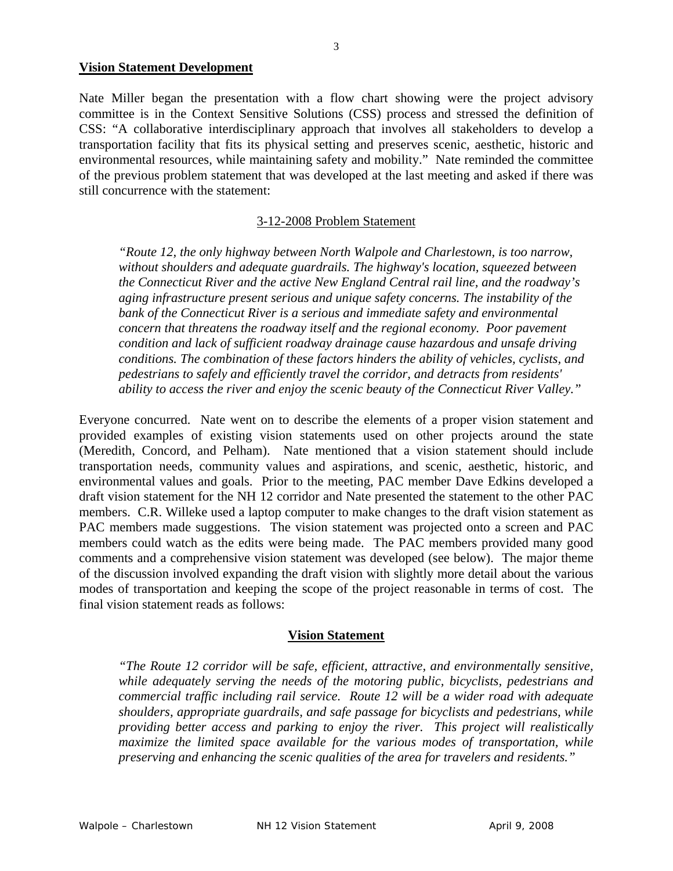#### **Vision Statement Development**

Nate Miller began the presentation with a flow chart showing were the project advisory committee is in the Context Sensitive Solutions (CSS) process and stressed the definition of CSS: "A collaborative interdisciplinary approach that involves all stakeholders to develop a transportation facility that fits its physical setting and preserves scenic, aesthetic, historic and environmental resources, while maintaining safety and mobility." Nate reminded the committee of the previous problem statement that was developed at the last meeting and asked if there was still concurrence with the statement:

### 3-12-2008 Problem Statement

*"Route 12, the only highway between North Walpole and Charlestown, is too narrow, without shoulders and adequate guardrails. The highway's location, squeezed between the Connecticut River and the active New England Central rail line, and the roadway's aging infrastructure present serious and unique safety concerns. The instability of the bank of the Connecticut River is a serious and immediate safety and environmental concern that threatens the roadway itself and the regional economy. Poor pavement condition and lack of sufficient roadway drainage cause hazardous and unsafe driving conditions. The combination of these factors hinders the ability of vehicles, cyclists, and pedestrians to safely and efficiently travel the corridor, and detracts from residents' ability to access the river and enjoy the scenic beauty of the Connecticut River Valley."* 

Everyone concurred. Nate went on to describe the elements of a proper vision statement and provided examples of existing vision statements used on other projects around the state (Meredith, Concord, and Pelham). Nate mentioned that a vision statement should include transportation needs, community values and aspirations, and scenic, aesthetic, historic, and environmental values and goals. Prior to the meeting, PAC member Dave Edkins developed a draft vision statement for the NH 12 corridor and Nate presented the statement to the other PAC members. C.R. Willeke used a laptop computer to make changes to the draft vision statement as PAC members made suggestions. The vision statement was projected onto a screen and PAC members could watch as the edits were being made. The PAC members provided many good comments and a comprehensive vision statement was developed (see below). The major theme of the discussion involved expanding the draft vision with slightly more detail about the various modes of transportation and keeping the scope of the project reasonable in terms of cost. The final vision statement reads as follows:

#### **Vision Statement**

*"The Route 12 corridor will be safe, efficient, attractive, and environmentally sensitive, while adequately serving the needs of the motoring public, bicyclists, pedestrians and commercial traffic including rail service. Route 12 will be a wider road with adequate shoulders, appropriate guardrails, and safe passage for bicyclists and pedestrians, while providing better access and parking to enjoy the river. This project will realistically maximize the limited space available for the various modes of transportation, while preserving and enhancing the scenic qualities of the area for travelers and residents."*